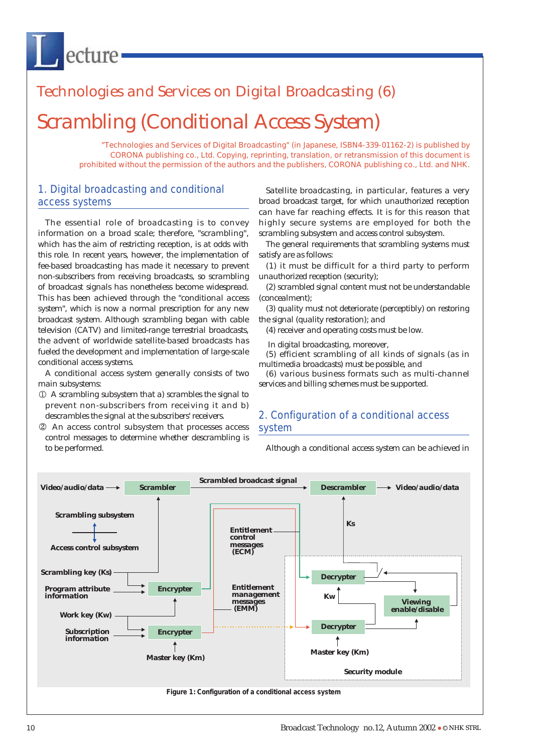# Scrambling (Conditional Access System) Technologies and Services on Digital Broadcasting (6)

"Technologies and Services of Digital Broadcasting" (in Japanese, ISBN4-339-01162-2) is published by CORONA publishing co., Ltd. Copying, reprinting, translation, or retransmission of this document is prohibited without the permission of the authors and the publishers, CORONA publishing co., Ltd. and NHK.

## 1. Digital broadcasting and conditional access systems

ecture

The essential role of broadcasting is to convey information on a broad scale; therefore, "scrambling", which has the aim of restricting reception, is at odds with this role. In recent years, however, the implementation of fee-based broadcasting has made it necessary to prevent non-subscribers from receiving broadcasts, so scrambling of broadcast signals has nonetheless become widespread. This has been achieved through the "conditional access system", which is now a normal prescription for any new broadcast system. Although scrambling began with cable television (CATV) and limited-range terrestrial broadcasts, the advent of worldwide satellite-based broadcasts has fueled the development and implementation of large-scale conditional access systems.

A conditional access system generally consists of two main subsystems:

- A scrambling subsystem that a) scrambles the signal to prevent non-subscribers from receiving it and b) descrambles the signal at the subscribers' receivers.
- An access control subsystem that processes access control messages to determine whether descrambling is to be performed.

Satellite broadcasting, in particular, features a very broad broadcast target, for which unauthorized reception can have far reaching effects. It is for this reason that highly secure systems are employed for both the scrambling subsystem and access control subsystem.

The general requirements that scrambling systems must satisfy are as follows:

(1) it must be difficult for a third party to perform unauthorized reception (security);

(2) scrambled signal content must not be understandable (concealment);

(3) quality must not deteriorate (perceptibly) on restoring the signal (quality restoration); and

(4) receiver and operating costs must be low.

In digital broadcasting, moreover,

(5) efficient scrambling of all kinds of signals (as in multimedia broadcasts) must be possible, and

(6) various business formats such as multi-channel services and billing schemes must be supported.

## 2. Configuration of a conditional access system

Although a conditional access system can be achieved in

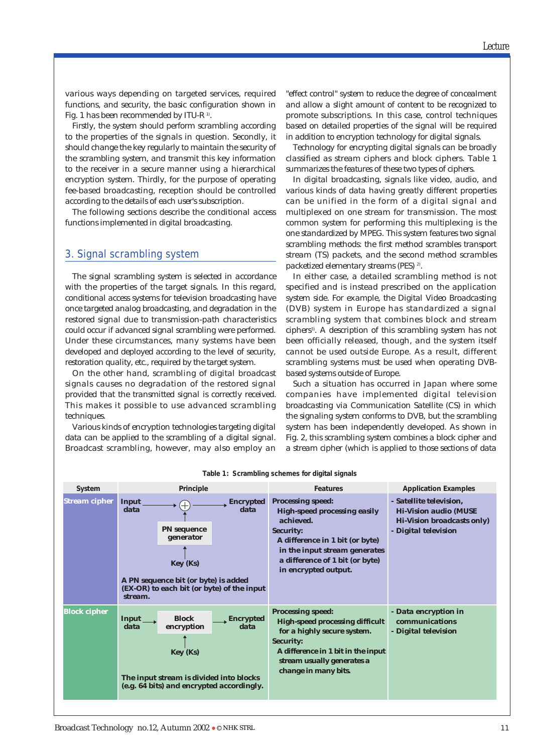various ways depending on targeted services, required functions, and security, the basic configuration shown in Fig. 1 has been recommended by ITU-R 1).

Firstly, the system should perform scrambling according to the properties of the signals in question. Secondly, it should change the key regularly to maintain the security of the scrambling system, and transmit this key information to the receiver in a secure manner using a hierarchical encryption system. Thirdly, for the purpose of operating fee-based broadcasting, reception should be controlled according to the details of each user's subscription.

The following sections describe the conditional access functions implemented in digital broadcasting.

### 3. Signal scrambling system

The signal scrambling system is selected in accordance with the properties of the target signals. In this regard, conditional access systems for television broadcasting have once targeted analog broadcasting, and degradation in the restored signal due to transmission-path characteristics could occur if advanced signal scrambling were performed. Under these circumstances, many systems have been developed and deployed according to the level of security, restoration quality, etc., required by the target system.

On the other hand, scrambling of digital broadcast signals causes no degradation of the restored signal provided that the transmitted signal is correctly received. This makes it possible to use advanced scrambling techniques.

Various kinds of encryption technologies targeting digital data can be applied to the scrambling of a digital signal. Broadcast scrambling, however, may also employ an

"effect control" system to reduce the degree of concealment and allow a slight amount of content to be recognized to promote subscriptions. In this case, control techniques based on detailed properties of the signal will be required in addition to encryption technology for digital signals.

Technology for encrypting digital signals can be broadly classified as stream ciphers and block ciphers. Table 1 summarizes the features of these two types of ciphers.

In digital broadcasting, signals like video, audio, and various kinds of data having greatly different properties can be unified in the form of a digital signal and multiplexed on one stream for transmission. The most common system for performing this multiplexing is the one standardized by MPEG. This system features two signal scrambling methods: the first method scrambles transport stream (TS) packets, and the second method scrambles packetized elementary streams (PES)<sup>2)</sup>.

In either case, a detailed scrambling method is not specified and is instead prescribed on the application system side. For example, the Digital Video Broadcasting (DVB) system in Europe has standardized a signal scrambling system that combines block and stream ciphers<sup>3</sup>. A description of this scrambling system has not been officially released, though, and the system itself cannot be used outside Europe. As a result, different scrambling systems must be used when operating DVBbased systems outside of Europe.

Such a situation has occurred in Japan where some companies have implemented digital television broadcasting via Communication Satellite (CS) in which the signaling system conforms to DVB, but the scrambling system has been independently developed. As shown in Fig. 2, this scrambling system combines a block cipher and a stream cipher (which is applied to those sections of data

| System               | Principle                                                                                                                                                                   |                          | <b>Features</b>                                                                                                                                                                                                                 | <b>Application Examples</b>                                                                                   |
|----------------------|-----------------------------------------------------------------------------------------------------------------------------------------------------------------------------|--------------------------|---------------------------------------------------------------------------------------------------------------------------------------------------------------------------------------------------------------------------------|---------------------------------------------------------------------------------------------------------------|
| <b>Stream cipher</b> | Input<br>data<br><b>PN</b> sequence<br>generator<br>Key (Ks)<br>A PN sequence bit (or byte) is added<br>(EX-OR) to each bit (or byte) of the input<br>stream.               | <b>Encrypted</b><br>data | <b>Processing speed:</b><br><b>High-speed processing easily</b><br>achieved.<br><b>Security:</b><br>A difference in 1 bit (or byte)<br>in the input stream generates<br>a difference of 1 bit (or byte)<br>in encrypted output. | - Satellite television,<br><b>Hi-Vision audio (MUSE</b><br>Hi-Vision broadcasts only)<br>- Digital television |
| <b>Block cipher</b>  | <b>Block</b><br>Input<br><b>Encrypted</b><br>data<br>encryption<br>data<br>Key (Ks)<br>The input stream is divided into blocks<br>(e.g. 64 bits) and encrypted accordingly. |                          | <b>Processing speed:</b><br><b>High-speed processing difficult</b><br>for a highly secure system.<br><b>Security:</b><br>A difference in 1 bit in the input<br>stream usually generates a<br>change in many bits.               | - Data encryption in<br>communications<br>- Digital television                                                |

**Table 1: Scrambling schemes for digital signals**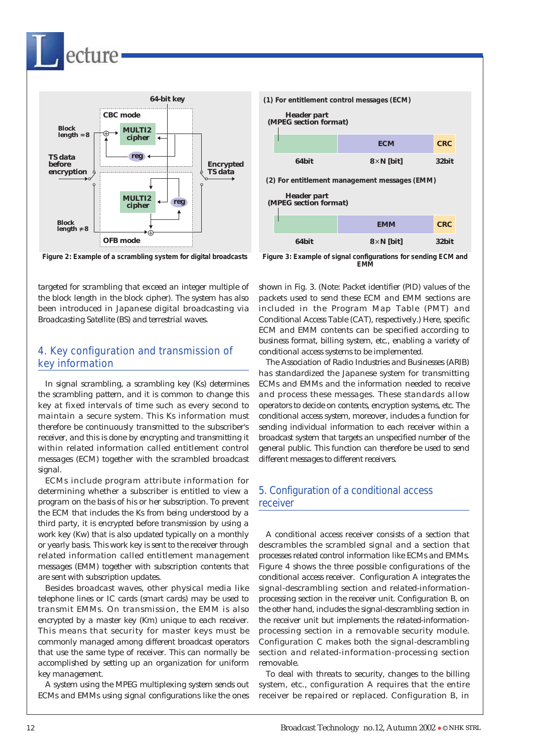

cture



targeted for scrambling that exceed an integer multiple of the block length in the block cipher). The system has also been introduced in Japanese digital broadcasting via Broadcasting Satellite (BS) and terrestrial waves.

## 4. Key configuration and transmission of key information

In signal scrambling, a scrambling key (Ks) determines the scrambling pattern, and it is common to change this key at fixed intervals of time such as every second to maintain a secure system. This Ks information must therefore be continuously transmitted to the subscriber's receiver, and this is done by encrypting and transmitting it within related information called entitlement control messages (ECM) together with the scrambled broadcast signal.

ECMs include program attribute information for determining whether a subscriber is entitled to view a program on the basis of his or her subscription. To prevent the ECM that includes the Ks from being understood by a third party, it is encrypted before transmission by using a work key (Kw) that is also updated typically on a monthly or yearly basis. This work key is sent to the receiver through related information called entitlement management messages (EMM) together with subscription contents that are sent with subscription updates.

Besides broadcast waves, other physical media like telephone lines or IC cards (smart cards) may be used to transmit EMMs. On transmission, the EMM is also encrypted by a master key (Km) unique to each receiver. This means that security for master keys must be commonly managed among different broadcast operators that use the same type of receiver. This can normally be accomplished by setting up an organization for uniform key management.

A system using the MPEG multiplexing system sends out ECMs and EMMs using signal configurations like the ones



**Figure 3: Example of signal configurations for sending ECM and EMM**

shown in Fig. 3. (Note: Packet identifier (PID) values of the packets used to send these ECM and EMM sections are included in the Program Map Table (PMT) and Conditional Access Table (CAT), respectively.) Here, specific ECM and EMM contents can be specified according to business format, billing system, etc., enabling a variety of conditional access systems to be implemented.

The Association of Radio Industries and Businesses (ARIB) has standardized the Japanese system for transmitting ECMs and EMMs and the information needed to receive and process these messages. These standards allow operators to decide on contents, encryption systems, etc. The conditional access system, moreover, includes a function for sending individual information to each receiver within a broadcast system that targets an unspecified number of the general public. This function can therefore be used to send different messages to different receivers.

## 5. Configuration of a conditional access receiver

A conditional access receiver consists of a section that descrambles the scrambled signal and a section that processes related control information like ECMs and EMMs. Figure 4 shows the three possible configurations of the conditional access receiver. Configuration A integrates the signal-descrambling section and related-informationprocessing section in the receiver unit. Configuration B, on the other hand, includes the signal-descrambling section in the receiver unit but implements the related-informationprocessing section in a removable security module. Configuration C makes both the signal-descrambling section and related-information-processing section removable.

To deal with threats to security, changes to the billing system, etc., configuration A requires that the entire receiver be repaired or replaced. Configuration B, in